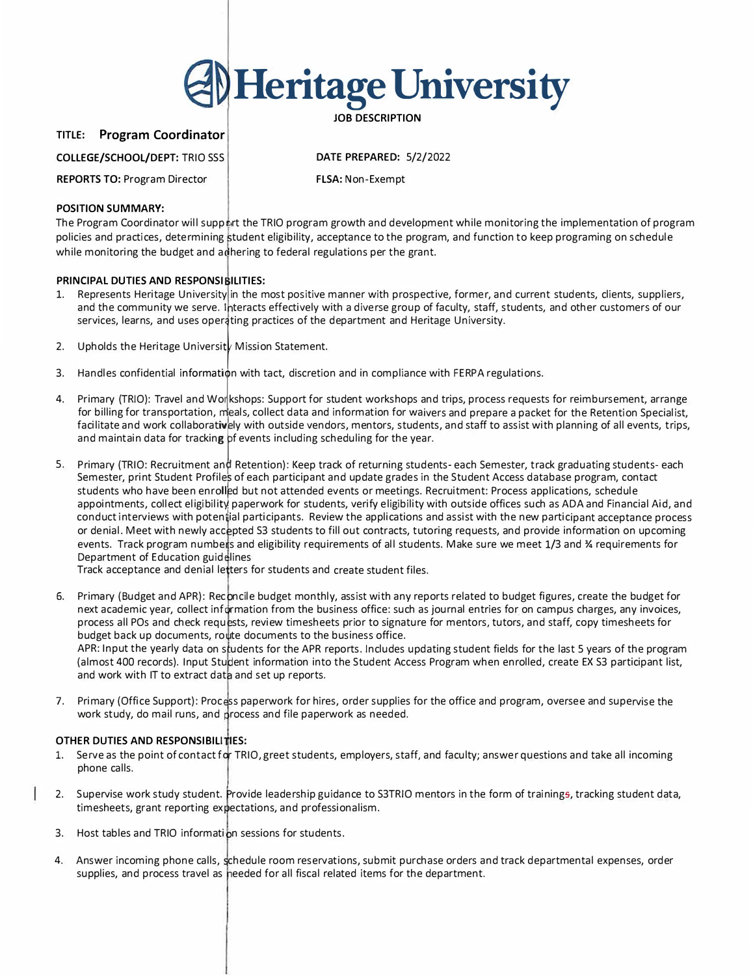

**TITLE: Program Coordinator** 

**COLLEGE/SCHOOL/DEPT:** TRIO SSS

**DATE PREPARED:** 5/2/2022

**REPORTS TO:** Program Director

**FLSA:** Non-Exempt

## **POSITION SUMMARY:**

The Program Coordinator will support the TRIO program growth and development while monitoring the implementation of program policies and practices, determining tudent eligibility, acceptance to the program, and function to keep programing on schedule while monitoring the budget and adhering to federal regulations per the grant.

# **PRINCIPAL DUTIES AND RESPONSIBILITIES:**

- 1. Represents Heritage University in the most positive manner with prospective, former, and current students, clients, suppliers, and the community we serve. Interacts effectively with a diverse group of faculty, staff, students, and other customers of our services, learns, and uses operating practices of the department and Heritage University.
- 2. Upholds the Heritage University Mission Statement.
- services, learns, and uses operating practices of the department and Heritage University.<br>2. Upholds the Heritage University Mission Statement.<br>3. Handles confidential information with tact, discretion and in compliance wi
- 1. Primary (TRIO): Travel and Workshops: Support for student workshops and trips, process requests for reimbursement, arrange<br>For billing for transportation, when sale and the and information for universe and areases a pos for billing for transportation, me<br>facilitate and work collaborative<br>and maintain data for tracking<br>and the contraction for billing for transportation, meals, collect data and information for waivers and prepare a packet for the Retention Specialist, facilitate and work collaboratively with outside vendors, mentors, students, and staff to assist with planning of all events, trips, and maintain data for tracking pf events including scheduling for the year.
- 5. Primary (TRIO: Recruitment and Retention): Keep track of returning students- each Semester, track graduating students- each Semester, print Student Profiles of each participant and update grades in the Student Access da Semester, print Student Profiles of each participant and update grades in the Student Access database program, contact<br>students who have been enrolled but not attended events or meetings. Recruitment: Process applications, students who have been enrolled but not attended events or meetings. Recruitment: Process applications, schedule conduct interviews with poten ial participants. Review the applications and assist with the new participant acceptance process or denial. Meet with newly ace pted S3 students to fill out contracts, tutoring requests, and provide information on upcoming events. Track program numbers and eligibility requirements of all students. Make sure we meet 1/3 and ¾ requirements for Department of Education guidelines

Track acceptance and denial letters for students and create student files.

- 6. Primary (Budget and APR): Reconcile budget monthly, assist with any reports related to budget figures, create the budget for next academic year, collect information from the business office: such as journal entries for on campus charges, any invoices, process all POs and check requests, review timesheets prior to signature for mentors, tutors, and staff, copy timesheets for budget back up documents, route documents to the business office. APR: Input the yearly data on students for the APR reports. Includes updating student fields for the last 5 years of the program (almost 400 records). Input Student information into the Student Access Program when enrolled, create EX S3 participant list, and work with IT to extract data and set up reports.
- 7. Primary (Office Support): Process paperwork for hires, order supplies for the office and program, oversee and supervise the work study, do mail runs, and process and file paperwork as needed.

# **OTHER DUTIES AND RESPONSIBILITIES:**

- 1. Serve as the point of contact for TRIO, greet students, employers, staff, and faculty; answer questions and take all incoming phone calls.
- 2. Supervise work study student. Provide leadership guidance to S3TRIO mentors in the form of trainings, tracking student data, timesheets, grant reporting expectations, and professionalism.
- 3. Host tables and TRIO information sessions for students.
- 4. Answer incoming phone calls, schedule room reservations, submit purchase orders and track departmental expenses, order supplies, and process travel as heeded for all fiscal related items for the department.